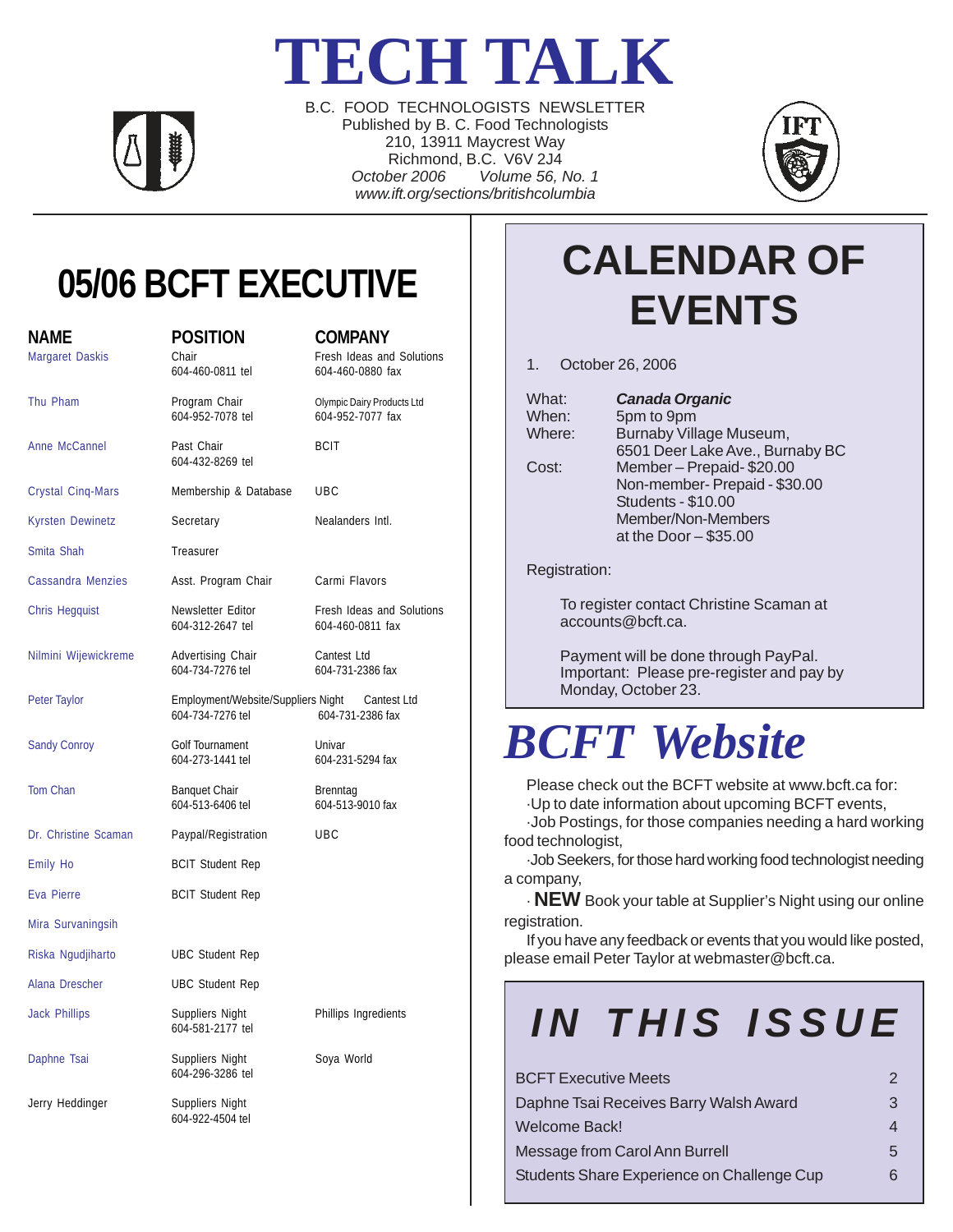# **TECH TALK**



B.C. FOOD TECHNOLOGISTS NEWSLETTER Published by B. C. Food Technologists 210, 13911 Maycrest Way Richmond, B.C. V6V 2J4 *October 2006 Volume 56, No. 1 www.ift.org/sections/britishcolumbia*



## **05/06 BCFT EXECUTIVE**

| <b>NAME</b><br>Margaret Daskis | <b>POSITION</b><br>Chair<br>604-460-0811 tel                                           | <b>COMPANY</b><br>Fresh Ideas and Solutions<br>604-460-0880 fax |
|--------------------------------|----------------------------------------------------------------------------------------|-----------------------------------------------------------------|
| Thu Pham                       | Program Chair<br>604-952-7078 tel                                                      | Olympic Dairy Products Ltd<br>604-952-7077 fax                  |
| Anne McCannel                  | Past Chair<br>604-432-8269 tel                                                         | <b>BCIT</b>                                                     |
| <b>Crystal Cinq-Mars</b>       | Membership & Database                                                                  | UBC                                                             |
| <b>Kyrsten Dewinetz</b>        | Secretary                                                                              | Nealanders Intl.                                                |
| Smita Shah                     | Treasurer                                                                              |                                                                 |
| <b>Cassandra Menzies</b>       | Asst. Program Chair                                                                    | Carmi Flavors                                                   |
| <b>Chris Hegquist</b>          | Newsletter Editor<br>604-312-2647 tel                                                  | Fresh Ideas and Solutions<br>604-460-0811 fax                   |
| Nilmini Wijewickreme           | Advertising Chair<br>604-734-7276 tel                                                  | Cantest Ltd<br>604-731-2386 fax                                 |
| Peter Taylor                   | Employment/Website/Suppliers Night Cantest Ltd<br>604-734-7276 tel<br>604-731-2386 fax |                                                                 |
| <b>Sandy Conroy</b>            | Golf Tournament<br>604-273-1441 tel                                                    | Univar<br>604-231-5294 fax                                      |
| <b>Tom Chan</b>                | <b>Banquet Chair</b><br>604-513-6406 tel                                               | Brenntag<br>604-513-9010 fax                                    |
| Dr. Christine Scaman           | Paypal/Registration                                                                    | UBC                                                             |
| <b>Emily Ho</b>                | <b>BCIT Student Rep</b>                                                                |                                                                 |
| Eva Pierre                     | <b>BCIT Student Rep</b>                                                                |                                                                 |
| Mira Survaningsih              |                                                                                        |                                                                 |
| Riska Ngudjiharto              | <b>UBC Student Rep</b>                                                                 |                                                                 |
| Alana Drescher                 | <b>UBC Student Rep</b>                                                                 |                                                                 |
| <b>Jack Phillips</b>           | Suppliers Night<br>604-581-2177 tel                                                    | Phillips Ingredients                                            |
| Daphne Tsai                    | Suppliers Night<br>604-296-3286 tel                                                    | Soya World                                                      |
| Jerry Heddinger                | Suppliers Night<br>604-922-4504 tel                                                    |                                                                 |

## **CALENDAR OF EVENTS**

1. October 26, 2006

|                     | What:<br>When:<br>Where:<br>Cost:                 | <b>Canada Organic</b><br>5pm to 9pm<br>Burnaby Village Museum,<br>6501 Deer Lake Ave., Burnaby BC<br>Member-Prepaid-\$20.00<br>Non-member- Prepaid - \$30.00<br><b>Students - \$10.00</b><br>Member/Non-Members<br>at the Door $-$ \$35.00                                                               |   |
|---------------------|---------------------------------------------------|----------------------------------------------------------------------------------------------------------------------------------------------------------------------------------------------------------------------------------------------------------------------------------------------------------|---|
|                     | Registration:                                     |                                                                                                                                                                                                                                                                                                          |   |
|                     |                                                   | To register contact Christine Scaman at<br>accounds@bcft.ca.                                                                                                                                                                                                                                             |   |
|                     |                                                   | Payment will be done through PayPal.<br>Important: Please pre-register and pay by<br>Monday, October 23.                                                                                                                                                                                                 |   |
| <b>BCFT</b> Website |                                                   |                                                                                                                                                                                                                                                                                                          |   |
|                     | food technologist,<br>a company,<br>registration. | Please check out the BCFT website at www.bcft.ca for:<br>Up to date information about upcoming BCFT events,<br>·Job Postings, for those companies needing a hard working<br>-Job Seekers, for those hard working food technologist needing<br>. NEW Book your table at Supplier's Night using our online |   |
|                     |                                                   | If you have any feedback or events that you would like posted,<br>please email Peter Taylor at webmaster@bcft.ca.                                                                                                                                                                                        |   |
|                     |                                                   | IN THIS ISSUE                                                                                                                                                                                                                                                                                            |   |
|                     | <b>BCFT Executive Meets</b>                       |                                                                                                                                                                                                                                                                                                          | 2 |
|                     |                                                   | Daphne Tsai Receives Barry Walsh Award                                                                                                                                                                                                                                                                   | 3 |
|                     | <b>Welcome Back!</b>                              |                                                                                                                                                                                                                                                                                                          | 4 |

Message from Carol Ann Burrell **5** 5 Students Share Experience on Challenge Cup 6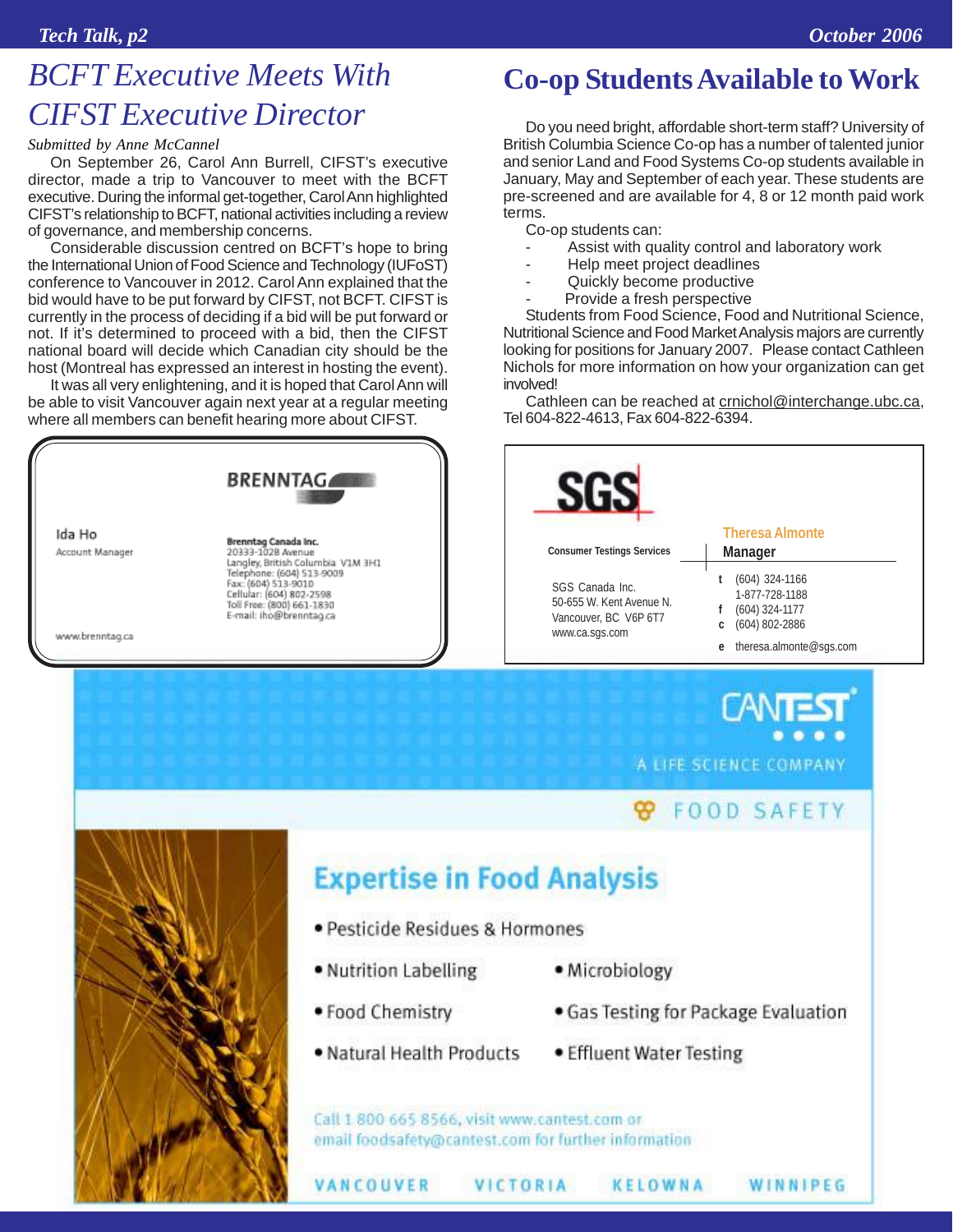### *BCFT Executive Meets With CIFST Executive Director*

#### *Submitted by Anne McCannel*

On September 26, Carol Ann Burrell, CIFST's executive director, made a trip to Vancouver to meet with the BCFT executive. During the informal get-together, Carol Ann highlighted CIFST's relationship to BCFT, national activities including a review of governance, and membership concerns.

Considerable discussion centred on BCFT's hope to bring the International Union of Food Science and Technology (IUFoST) conference to Vancouver in 2012. Carol Ann explained that the bid would have to be put forward by CIFST, not BCFT. CIFST is currently in the process of deciding if a bid will be put forward or not. If it's determined to proceed with a bid, then the CIFST national board will decide which Canadian city should be the host (Montreal has expressed an interest in hosting the event).

It was all very enlightening, and it is hoped that Carol Ann will be able to visit Vancouver again next year at a regular meeting where all members can benefit hearing more about CIFST.



Do you need bright, affordable short-term staff? University of British Columbia Science Co-op has a number of talented junior and senior Land and Food Systems Co-op students available in January, May and September of each year. These students are pre-screened and are available for 4, 8 or 12 month paid work terms.

**Co-op Students Available to Work**

Co-op students can:

- Assist with quality control and laboratory work
- Help meet project deadlines
- Quickly become productive
- Provide a fresh perspective

Students from Food Science, Food and Nutritional Science, Nutritional Science and Food Market Analysis majors are currently looking for positions for January 2007. Please contact Cathleen Nichols for more information on how your organization can get involved!

Cathleen can be reached at crnichol@interchange.ubc.ca, Tel 604-822-4613, Fax 604-822-6394.

|                                                                                        | <b>Theresa Almonte</b>                                                          |
|----------------------------------------------------------------------------------------|---------------------------------------------------------------------------------|
| <b>Consumer Testings Services</b>                                                      | Manager                                                                         |
| SGS Canada Inc.<br>50-655 W. Kent Avenue N.<br>Vancouver, BC V6P 6T7<br>www.ca.sgs.com | $(604)$ 324-1166<br>1-877-728-1188<br>$(604)$ 324-1177<br>$(604)$ 802-2886<br>c |

A LIFE SCIENCE COMPANY

CANT

### **FOOD SAFETY**

WINNIPEG



### **Expertise in Food Analysis**

- · Pesticide Residues & Hormones
- · Nutrition Labelling
- . Food Chemistry

VANCOUVER

- · Natural Health Products
- · Microbiology
- Gas Testing for Package Evaluation
- Effluent Water Testing

KELOWNA

Call 1 800 665 8566, visit www.cantest.com or email foodsafety@cantest.com for further information

VICTORIA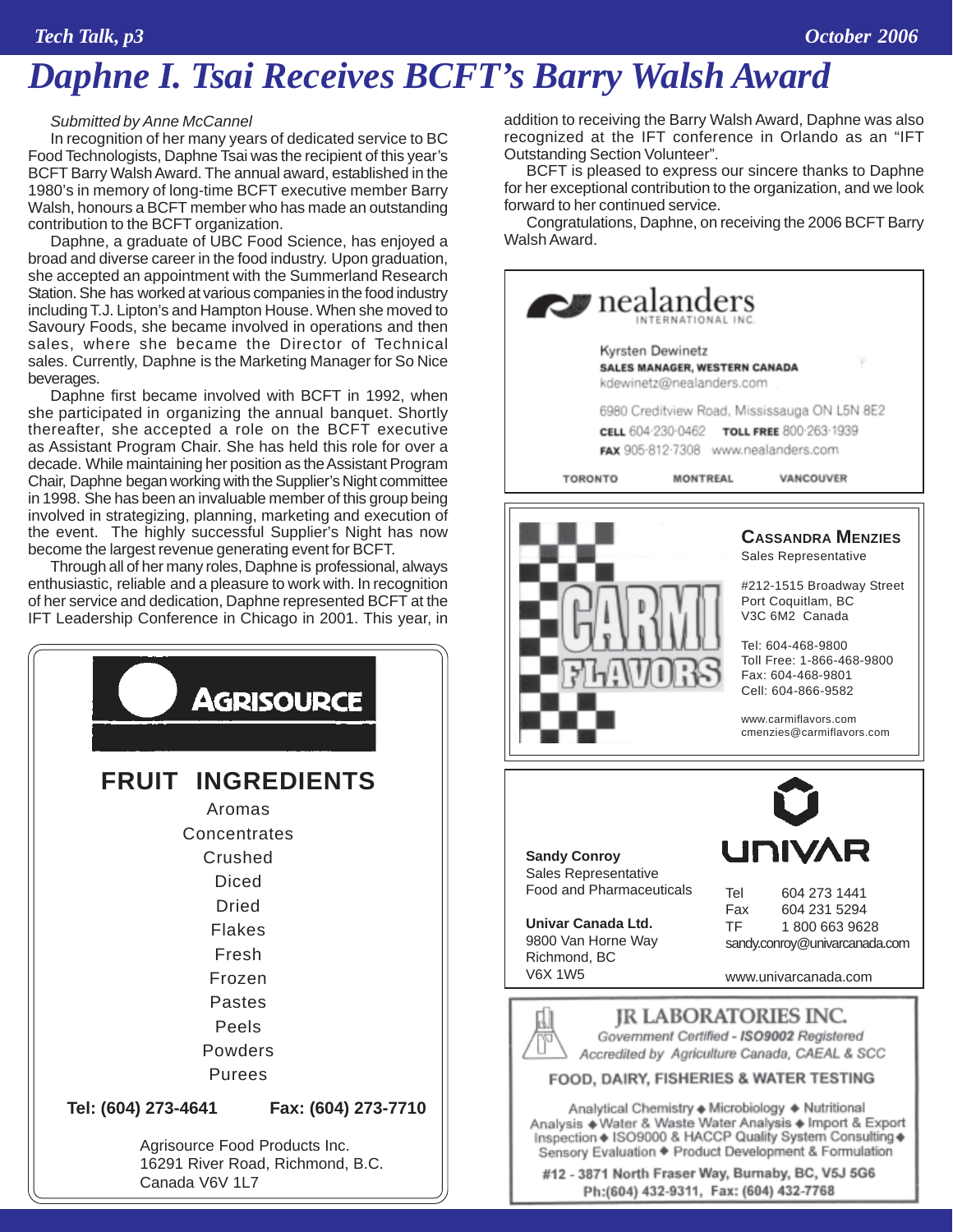### *Daphne I. Tsai Receives BCFT's Barry Walsh Award*

#### *Submitted by Anne McCannel*

In recognition of her many years of dedicated service to BC Food Technologists, Daphne Tsai was the recipient of this year's BCFT Barry Walsh Award. The annual award, established in the 1980's in memory of long-time BCFT executive member Barry Walsh, honours a BCFT member who has made an outstanding contribution to the BCFT organization.

Daphne, a graduate of UBC Food Science, has enjoyed a broad and diverse career in the food industry. Upon graduation, she accepted an appointment with the Summerland Research Station. She has worked at various companies in the food industry including T.J. Lipton's and Hampton House. When she moved to Savoury Foods, she became involved in operations and then sales, where she became the Director of Technical sales. Currently, Daphne is the Marketing Manager for So Nice beverages.

Daphne first became involved with BCFT in 1992, when she participated in organizing the annual banquet. Shortly thereafter, she accepted a role on the BCFT executive as Assistant Program Chair. She has held this role for over a decade. While maintaining her position as the Assistant Program Chair, Daphne began working with the Supplier's Night committee in 1998. She has been an invaluable member of this group being involved in strategizing, planning, marketing and execution of the event. The highly successful Supplier's Night has now become the largest revenue generating event for BCFT.

Through all of her many roles, Daphne is professional, always enthusiastic, reliable and a pleasure to work with. In recognition of her service and dedication, Daphne represented BCFT at the IFT Leadership Conference in Chicago in 2001. This year, in



addition to receiving the Barry Walsh Award, Daphne was also recognized at the IFT conference in Orlando as an "IFT Outstanding Section Volunteer".

BCFT is pleased to express our sincere thanks to Daphne for her exceptional contribution to the organization, and we look forward to her continued service.

Congratulations, Daphne, on receiving the 2006 BCFT Barry Walsh Award.

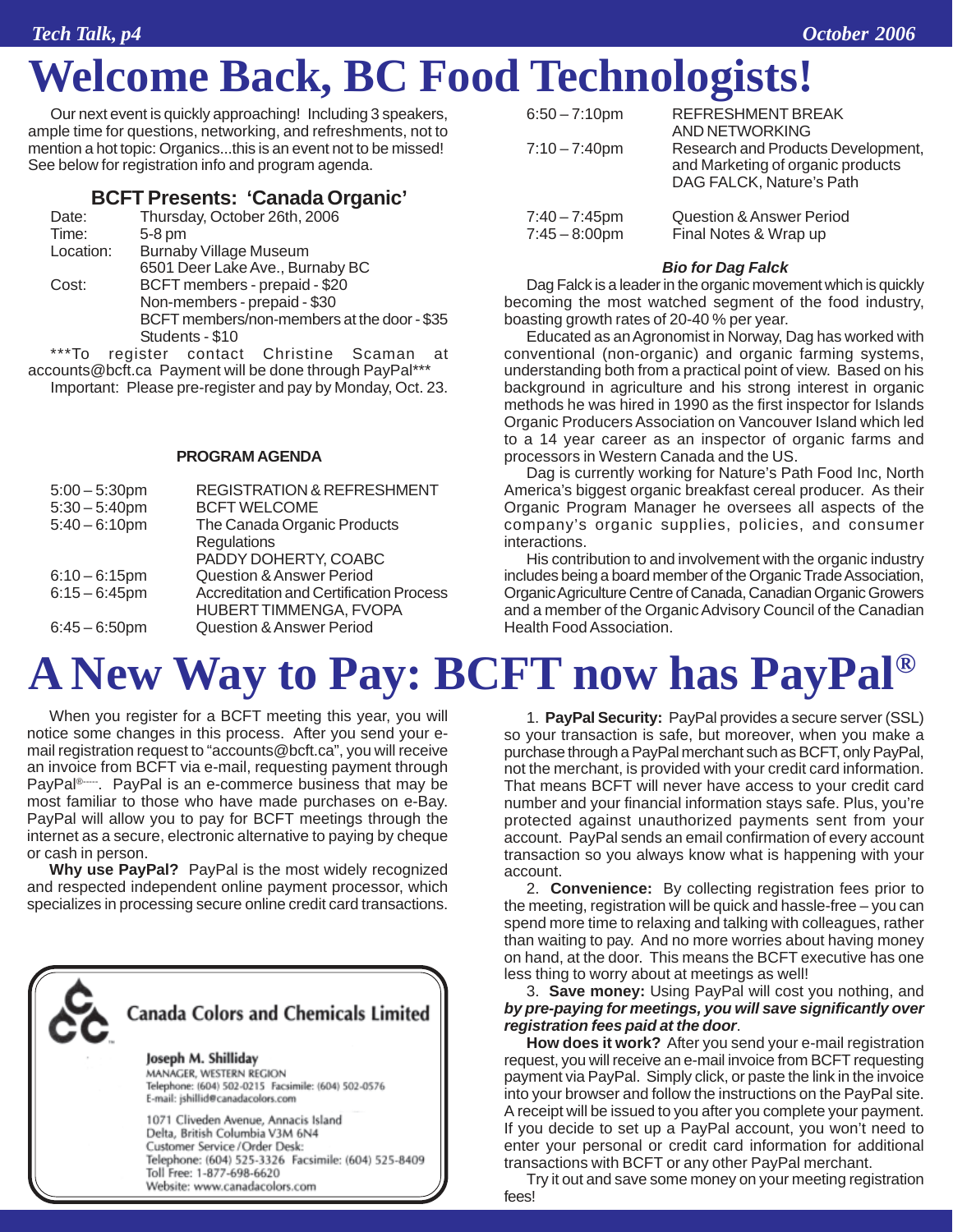## **Welcome Back, BC Food Technologists!**

Our next event is quickly approaching! Including 3 speakers, ample time for questions, networking, and refreshments, not to mention a hot topic: Organics...this is an event not to be missed! See below for registration info and program agenda.

### **BCFT Presents: 'Canada Organic'**

| Date:     | Thursday, October 26th, 2006                       |  |  |
|-----------|----------------------------------------------------|--|--|
| Time:     | $5-8$ pm                                           |  |  |
| Location: | <b>Burnaby Village Museum</b>                      |  |  |
|           | 6501 Deer Lake Ave., Burnaby BC                    |  |  |
| Cost:     | BCFT members - prepaid - \$20                      |  |  |
|           | Non-members - prepaid - \$30                       |  |  |
|           | BCFT members/non-members at the door - \$35        |  |  |
|           | Students - \$10                                    |  |  |
| $***T0$   | rogiator contact<br>Chriation<br>S <sub>onmo</sub> |  |  |

To register contact Christine Scaman at accounts@bcft.ca Payment will be done through PayPal\*\*\* Important: Please pre-register and pay by Monday, Oct. 23.

#### **PROGRAM AGENDA**

| $5:00 - 5:30$ pm<br>$5:30 - 5:40$ pm | <b>REGISTRATION &amp; REFRESHMENT</b><br><b>BCFT WELCOME</b> |
|--------------------------------------|--------------------------------------------------------------|
| $5:40 - 6:10$ pm                     | The Canada Organic Products                                  |
|                                      | Regulations                                                  |
|                                      | PADDY DOHERTY, COABC                                         |
| $6:10 - 6:15$ pm                     | <b>Question &amp; Answer Period</b>                          |
| $6:15 - 6:45$ pm                     | <b>Accreditation and Certification Process</b>               |
|                                      | HUBERT TIMMENGA, FVOPA                                       |
| $6:45 - 6:50$ pm                     | <b>Question &amp; Answer Period</b>                          |

| $6:50 - 7:10$ pm                     | REFRESHMENT BREAK                                                                                   |
|--------------------------------------|-----------------------------------------------------------------------------------------------------|
|                                      | AND NETWORKING                                                                                      |
| $7:10 - 7:40$ pm                     | Research and Products Development,<br>and Marketing of organic products<br>DAG FALCK, Nature's Path |
| $7:40 - 7:45$ pm<br>$7:45 - 8:00$ pm | Question & Answer Period<br>Final Notes & Wrap up                                                   |

#### *Bio for Dag Falck*

Dag Falck is a leader in the organic movement which is quickly becoming the most watched segment of the food industry, boasting growth rates of 20-40 % per year.

Educated as an Agronomist in Norway, Dag has worked with conventional (non-organic) and organic farming systems, understanding both from a practical point of view. Based on his background in agriculture and his strong interest in organic methods he was hired in 1990 as the first inspector for Islands Organic Producers Association on Vancouver Island which led to a 14 year career as an inspector of organic farms and processors in Western Canada and the US.

Dag is currently working for Nature's Path Food Inc, North America's biggest organic breakfast cereal producer. As their Organic Program Manager he oversees all aspects of the company's organic supplies, policies, and consumer interactions.

His contribution to and involvement with the organic industry includes being a board member of the Organic Trade Association, Organic Agriculture Centre of Canada, Canadian Organic Growers and a member of the Organic Advisory Council of the Canadian Health Food Association.

## **A New Way to Pay: BCFT now has PayPal®**

When you register for a BCFT meeting this year, you will notice some changes in this process. After you send your email registration request to "accounts@bcft.ca", you will receive an invoice from BCFT via e-mail, requesting payment through PayPal<sup>®----</sup>. PayPal is an e-commerce business that may be most familiar to those who have made purchases on e-Bay. PayPal will allow you to pay for BCFT meetings through the internet as a secure, electronic alternative to paying by cheque or cash in person.

**Why use PayPal?** PayPal is the most widely recognized and respected independent online payment processor, which specializes in processing secure online credit card transactions.



1. **PayPal Security:** PayPal provides a secure server (SSL) so your transaction is safe, but moreover, when you make a purchase through a PayPal merchant such as BCFT, only PayPal, not the merchant, is provided with your credit card information. That means BCFT will never have access to your credit card number and your financial information stays safe. Plus, you're protected against unauthorized payments sent from your account. PayPal sends an email confirmation of every account transaction so you always know what is happening with your account.

2. **Convenience:** By collecting registration fees prior to the meeting, registration will be quick and hassle-free – you can spend more time to relaxing and talking with colleagues, rather than waiting to pay. And no more worries about having money on hand, at the door. This means the BCFT executive has one less thing to worry about at meetings as well!

3. **Save money:** Using PayPal will cost you nothing, and *by pre-paying for meetings, you will save significantly over registration fees paid at the door*.

**How does it work?** After you send your e-mail registration request, you will receive an e-mail invoice from BCFT requesting payment via PayPal. Simply click, or paste the link in the invoice into your browser and follow the instructions on the PayPal site. A receipt will be issued to you after you complete your payment. If you decide to set up a PayPal account, you won't need to enter your personal or credit card information for additional transactions with BCFT or any other PayPal merchant.

Try it out and save some money on your meeting registration fees!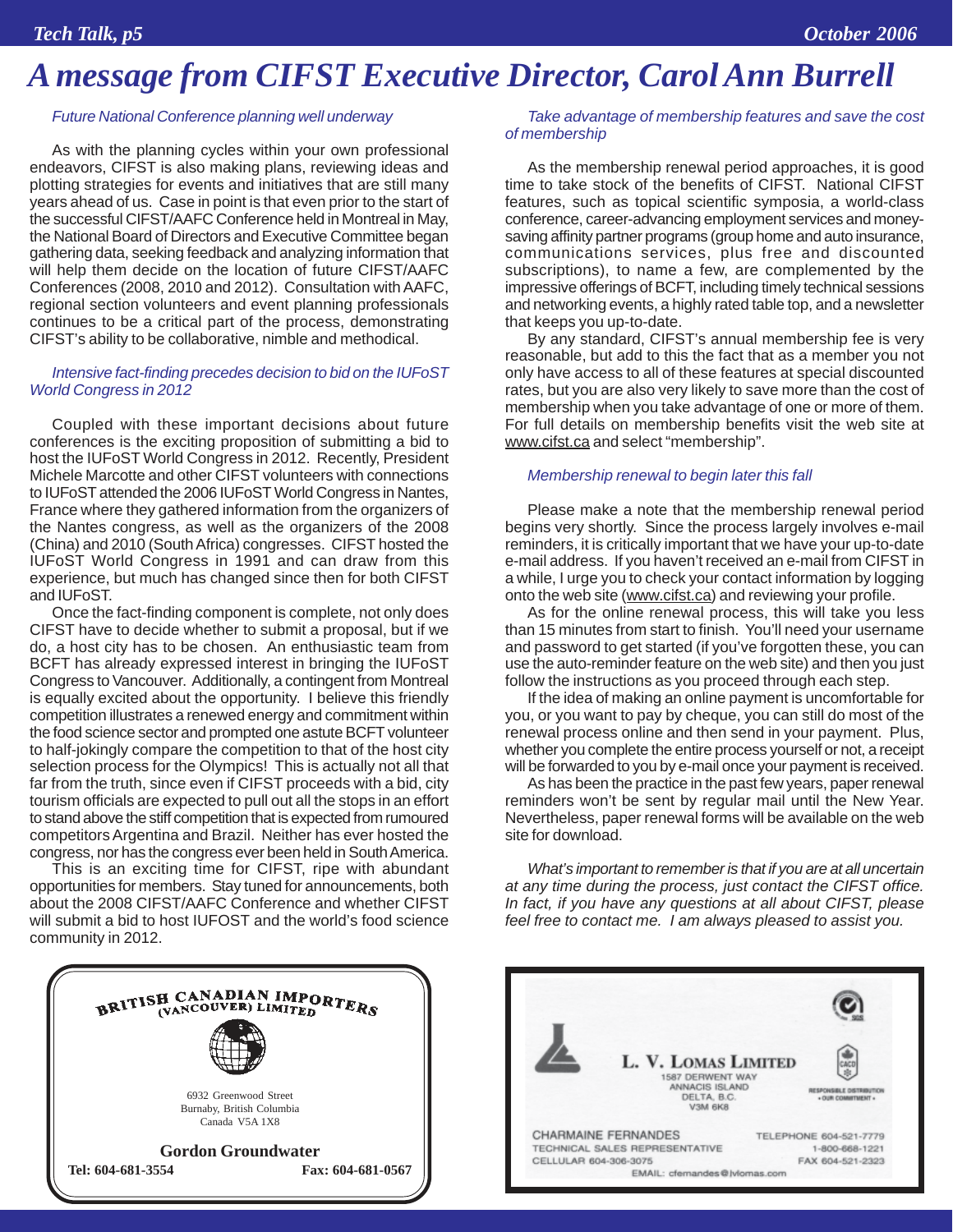### *A message from CIFST Executive Director, Carol Ann Burrell*

#### *Future National Conference planning well underway*

As with the planning cycles within your own professional endeavors, CIFST is also making plans, reviewing ideas and plotting strategies for events and initiatives that are still many years ahead of us. Case in point is that even prior to the start of the successful CIFST/AAFC Conference held in Montreal in May, the National Board of Directors and Executive Committee began gathering data, seeking feedback and analyzing information that will help them decide on the location of future CIFST/AAFC Conferences (2008, 2010 and 2012). Consultation with AAFC, regional section volunteers and event planning professionals continues to be a critical part of the process, demonstrating CIFST's ability to be collaborative, nimble and methodical.

#### *Intensive fact-finding precedes decision to bid on the IUFoST World Congress in 2012*

Coupled with these important decisions about future conferences is the exciting proposition of submitting a bid to host the IUFoST World Congress in 2012. Recently, President Michele Marcotte and other CIFST volunteers with connections to IUFoST attended the 2006 IUFoST World Congress in Nantes, France where they gathered information from the organizers of the Nantes congress, as well as the organizers of the 2008 (China) and 2010 (South Africa) congresses. CIFST hosted the IUFoST World Congress in 1991 and can draw from this experience, but much has changed since then for both CIFST and IUFoST.

Once the fact-finding component is complete, not only does CIFST have to decide whether to submit a proposal, but if we do, a host city has to be chosen. An enthusiastic team from BCFT has already expressed interest in bringing the IUFoST Congress to Vancouver. Additionally, a contingent from Montreal is equally excited about the opportunity. I believe this friendly competition illustrates a renewed energy and commitment within the food science sector and prompted one astute BCFT volunteer to half-jokingly compare the competition to that of the host city selection process for the Olympics! This is actually not all that far from the truth, since even if CIFST proceeds with a bid, city tourism officials are expected to pull out all the stops in an effort to stand above the stiff competition that is expected from rumoured competitors Argentina and Brazil. Neither has ever hosted the congress, nor has the congress ever been held in South America.

This is an exciting time for CIFST, ripe with abundant opportunities for members. Stay tuned for announcements, both about the 2008 CIFST/AAFC Conference and whether CIFST will submit a bid to host IUFOST and the world's food science community in 2012.



#### *Take advantage of membership features and save the cost of membership*

As the membership renewal period approaches, it is good time to take stock of the benefits of CIFST. National CIFST features, such as topical scientific symposia, a world-class conference, career-advancing employment services and moneysaving affinity partner programs (group home and auto insurance, communications services, plus free and discounted subscriptions), to name a few, are complemented by the impressive offerings of BCFT, including timely technical sessions and networking events, a highly rated table top, and a newsletter that keeps you up-to-date.

By any standard, CIFST's annual membership fee is very reasonable, but add to this the fact that as a member you not only have access to all of these features at special discounted rates, but you are also very likely to save more than the cost of membership when you take advantage of one or more of them. For full details on membership benefits visit the web site at www.cifst.ca and select "membership".

#### *Membership renewal to begin later this fall*

Please make a note that the membership renewal period begins very shortly. Since the process largely involves e-mail reminders, it is critically important that we have your up-to-date e-mail address. If you haven't received an e-mail from CIFST in a while, I urge you to check your contact information by logging onto the web site (www.cifst.ca) and reviewing your profile.

As for the online renewal process, this will take you less than 15 minutes from start to finish. You'll need your username and password to get started (if you've forgotten these, you can use the auto-reminder feature on the web site) and then you just follow the instructions as you proceed through each step.

If the idea of making an online payment is uncomfortable for you, or you want to pay by cheque, you can still do most of the renewal process online and then send in your payment. Plus, whether you complete the entire process yourself or not, a receipt will be forwarded to you by e-mail once your payment is received.

As has been the practice in the past few years, paper renewal reminders won't be sent by regular mail until the New Year. Nevertheless, paper renewal forms will be available on the web site for download.

*What's important to remember is that if you are at all uncertain at any time during the process, just contact the CIFST office. In fact, if you have any questions at all about CIFST, please feel free to contact me. I am always pleased to assist you.*